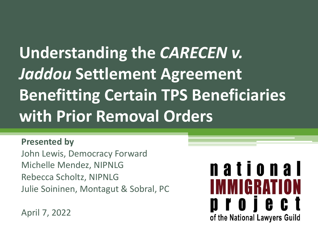# **Understanding the** *CARECEN v. Jaddou* **Settlement Agreement Benefitting Certain TPS Beneficiaries with Prior Removal Orders**

#### **Presented by**

John Lewis, Democracy Forward Michelle Mendez, NIPNLG Rebecca Scholtz, NIPNLG Julie Soininen, Montagut & Sobral, PC

national WMIGRAT 0 Y O I e c of the National Lawyers Guild

April 7, 2022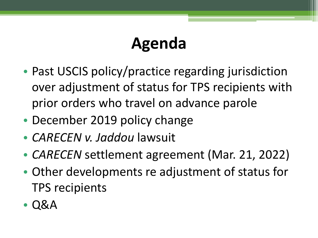# **Agenda**

- Past USCIS policy/practice regarding jurisdiction over adjustment of status for TPS recipients with prior orders who travel on advance parole
- December 2019 policy change
- *CARECEN v. Jaddou* lawsuit
- *CARECEN* settlement agreement (Mar. 21, 2022)
- Other developments re adjustment of status for TPS recipients
- Q&A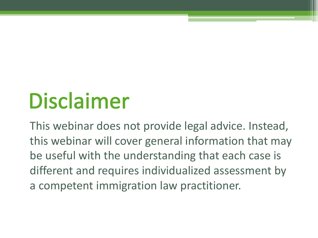# **Disclaimer**

This webinar does not provide legal advice. Instead, this webinar will cover general information that may be useful with the understanding that each case is different and requires individualized assessment by a competent immigration law practitioner.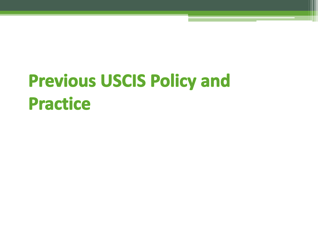# **Previous USCIS Policy and Practice**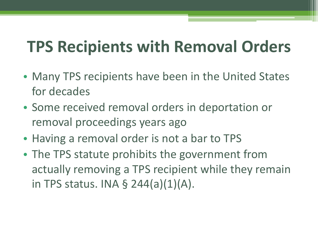# **TPS Recipients with Removal Orders**

- Many TPS recipients have been in the United States for decades
- Some received removal orders in deportation or removal proceedings years ago
- Having a removal order is not a bar to TPS
- The TPS statute prohibits the government from actually removing a TPS recipient while they remain in TPS status. INA § 244(a)(1)(A).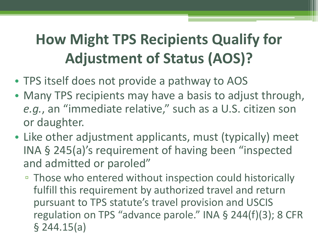### **How Might TPS Recipients Qualify for Adjustment of Status (AOS)?**

- TPS itself does not provide a pathway to AOS
- Many TPS recipients may have a basis to adjust through, *e.g.*, an "immediate relative," such as a U.S. citizen son or daughter.
- Like other adjustment applicants, must (typically) meet INA § 245(a)'s requirement of having been "inspected and admitted or paroled"
	- Those who entered without inspection could historically fulfill this requirement by authorized travel and return pursuant to TPS statute's travel provision and USCIS regulation on TPS "advance parole." INA § 244(f)(3); 8 CFR § 244.15(a)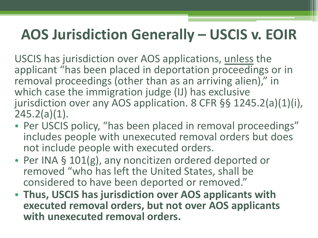#### **AOS Jurisdiction Generally – USCIS v. EOIR**

USCIS has jurisdiction over AOS applications, unless the applicant "has been placed in deportation proceedings or in removal proceedings (other than as an arriving alien)," in which case the immigration judge (IJ) has exclusive jurisdiction over any AOS application. 8 CFR §§ 1245.2(a)(1)(i), 245.2(a)(1).

- Per USCIS policy, "has been placed in removal proceedings" includes people with unexecuted removal orders but does not include people with executed orders.
- Per INA § 101(g), any noncitizen ordered deported or removed "who has left the United States, shall be considered to have been deported or removed."
- **Thus, USCIS has jurisdiction over AOS applicants with executed removal orders, but not over AOS applicants with unexecuted removal orders.**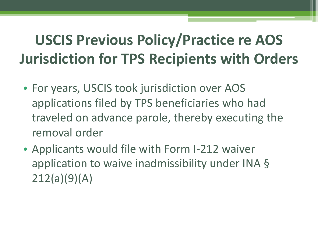### **USCIS Previous Policy/Practice re AOS Jurisdiction for TPS Recipients with Orders**

- For years, USCIS took jurisdiction over AOS applications filed by TPS beneficiaries who had traveled on advance parole, thereby executing the removal order
- Applicants would file with Form I-212 waiver application to waive inadmissibility under INA § 212(a)(9)(A)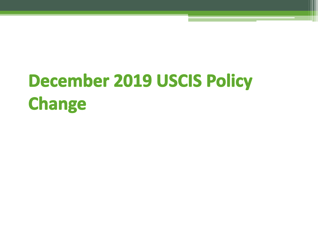# **December 2019 USCIS Policy Change**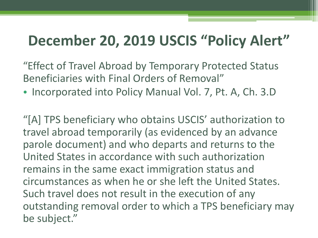#### **December 20, 2019 USCIS "Policy Alert"**

"Effect of Travel Abroad by Temporary Protected Status Beneficiaries with Final Orders of Removal"

• Incorporated into Policy Manual Vol. 7, Pt. A, Ch. 3.D

"[A] TPS beneficiary who obtains USCIS' authorization to travel abroad temporarily (as evidenced by an advance parole document) and who departs and returns to the United States in accordance with such authorization remains in the same exact immigration status and circumstances as when he or she left the United States. Such travel does not result in the execution of any outstanding removal order to which a TPS beneficiary may be subject."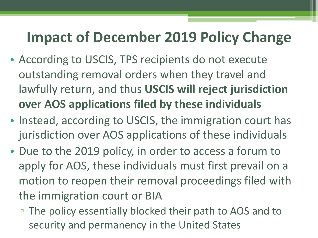#### **Impact of December 2019 Policy Change**

- According to USCIS, TPS recipients do not execute outstanding removal orders when they travel and lawfully return, and thus **USCIS will reject jurisdiction over AOS applications filed by these individuals**
- Instead, according to USCIS, the immigration court has jurisdiction over AOS applications of these individuals
- Due to the 2019 policy, in order to access a forum to apply for AOS, these individuals must first prevail on a motion to reopen their removal proceedings filed with the immigration court or BIA
	- The policy essentially blocked their path to AOS and to security and permanency in the United States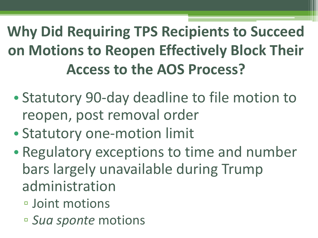# **Why Did Requiring TPS Recipients to Succeed on Motions to Reopen Effectively Block Their Access to the AOS Process?**

- Statutory 90-day deadline to file motion to reopen, post removal order
- Statutory one-motion limit
- Regulatory exceptions to time and number bars largely unavailable during Trump administration
	- Joint motions
	- *Sua sponte* motions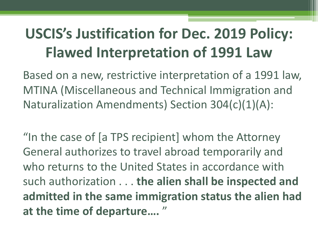### **USCIS's Justification for Dec. 2019 Policy: Flawed Interpretation of 1991 Law**

Based on a new, restrictive interpretation of a 1991 law, MTINA (Miscellaneous and Technical Immigration and Naturalization Amendments) Section 304(c)(1)(A):

"In the case of [a TPS recipient] whom the Attorney General authorizes to travel abroad temporarily and who returns to the United States in accordance with such authorization . . . **the alien shall be inspected and admitted in the same immigration status the alien had at the time of departure….** "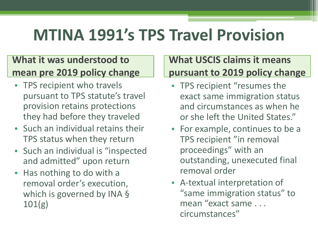# **MTINA 1991's TPS Travel Provision**

#### **What it was understood to mean pre 2019 policy change**

- TPS recipient who travels pursuant to TPS statute's travel provision retains protections they had before they traveled
- Such an individual retains their TPS status when they return
- Such an individual is "inspected and admitted" upon return
- Has nothing to do with a removal order's execution, which is governed by INA § 101(g)

#### **What USCIS claims it means pursuant to 2019 policy change**

- TPS recipient "resumes the exact same immigration status and circumstances as when he or she left the United States."
- For example, continues to be a TPS recipient "in removal proceedings" with an outstanding, unexecuted final removal order
- A-textual interpretation of "same immigration status" to mean "exact same . . . circumstances"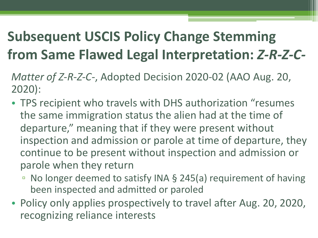#### **Subsequent USCIS Policy Change Stemming from Same Flawed Legal Interpretation:** *Z-R-Z-C-*

*Matter of Z-R-Z-C-*, Adopted Decision 2020-02 (AAO Aug. 20, 2020):

- TPS recipient who travels with DHS authorization "resumes the same immigration status the alien had at the time of departure," meaning that if they were present without inspection and admission or parole at time of departure, they continue to be present without inspection and admission or parole when they return
	- No longer deemed to satisfy INA § 245(a) requirement of having been inspected and admitted or paroled
- Policy only applies prospectively to travel after Aug. 20, 2020, recognizing reliance interests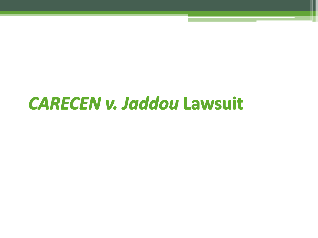# **CARECEN v. Jaddou Lawsuit**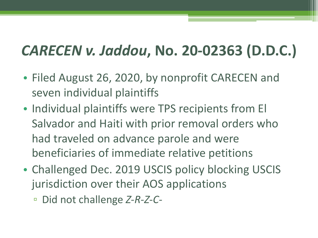#### *CARECEN v. Jaddou***, No. 20-02363 (D.D.C.)**

- Filed August 26, 2020, by nonprofit CARECEN and seven individual plaintiffs
- Individual plaintiffs were TPS recipients from El Salvador and Haiti with prior removal orders who had traveled on advance parole and were beneficiaries of immediate relative petitions
- Challenged Dec. 2019 USCIS policy blocking USCIS jurisdiction over their AOS applications
	- Did not challenge *Z-R-Z-C-*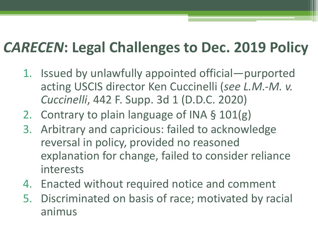#### *CARECEN***: Legal Challenges to Dec. 2019 Policy**

- 1. Issued by unlawfully appointed official—purported acting USCIS director Ken Cuccinelli (*see L.M.-M. v. Cuccinelli*, 442 F. Supp. 3d 1 (D.D.C. 2020)
- 2. Contrary to plain language of INA § 101(g)
- 3. Arbitrary and capricious: failed to acknowledge reversal in policy, provided no reasoned explanation for change, failed to consider reliance interests
- 4. Enacted without required notice and comment
- 5. Discriminated on basis of race; motivated by racial animus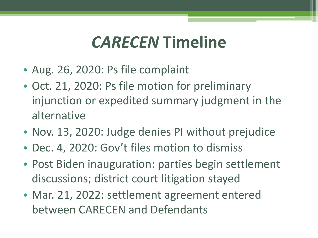# *CARECEN* **Timeline**

- Aug. 26, 2020: Ps file complaint
- Oct. 21, 2020: Ps file motion for preliminary injunction or expedited summary judgment in the alternative
- Nov. 13, 2020: Judge denies PI without prejudice
- Dec. 4, 2020: Gov't files motion to dismiss
- Post Biden inauguration: parties begin settlement discussions; district court litigation stayed
- Mar. 21, 2022: settlement agreement entered between CARECEN and Defendants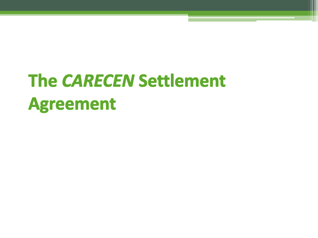# **The CARECEN Settlement Agreement**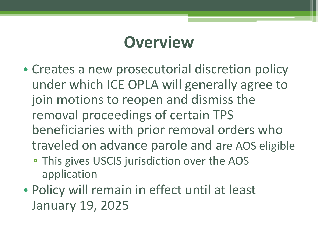### **Overview**

- Creates a new prosecutorial discretion policy under which ICE OPLA will generally agree to join motions to reopen and dismiss the removal proceedings of certain TPS beneficiaries with prior removal orders who traveled on advance parole and are AOS eligible
	- This gives USCIS jurisdiction over the AOS application
- Policy will remain in effect until at least January 19, 2025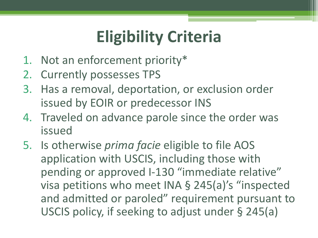# **Eligibility Criteria**

- 1. Not an enforcement priority\*
- 2. Currently possesses TPS
- 3. Has a removal, deportation, or exclusion order issued by EOIR or predecessor INS
- 4. Traveled on advance parole since the order was issued
- 5. Is otherwise *prima facie* eligible to file AOS application with USCIS, including those with pending or approved I-130 "immediate relative" visa petitions who meet INA § 245(a)'s "inspected and admitted or paroled" requirement pursuant to USCIS policy, if seeking to adjust under § 245(a)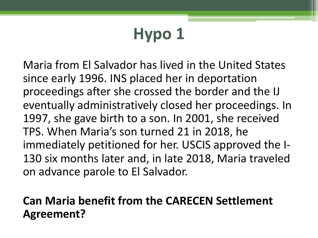# **Hypo 1**

Maria from El Salvador has lived in the United States since early 1996. INS placed her in deportation proceedings after she crossed the border and the IJ eventually administratively closed her proceedings. In 1997, she gave birth to a son. In 2001, she received TPS. When Maria's son turned 21 in 2018, he immediately petitioned for her. USCIS approved the I-130 six months later and, in late 2018, Maria traveled on advance parole to El Salvador.

#### **Can Maria benefit from the CARECEN Settlement Agreement?**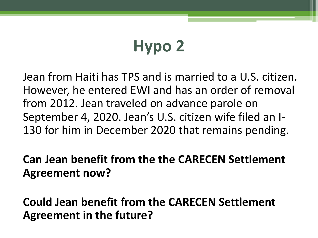# **Hypo 2**

Jean from Haiti has TPS and is married to a U.S. citizen. However, he entered EWI and has an order of removal from 2012. Jean traveled on advance parole on September 4, 2020. Jean's U.S. citizen wife filed an I-130 for him in December 2020 that remains pending.

**Can Jean benefit from the the CARECEN Settlement Agreement now?** 

**Could Jean benefit from the CARECEN Settlement Agreement in the future?**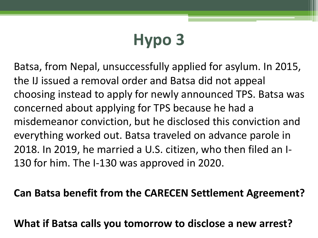# **Hypo 3**

Batsa, from Nepal, unsuccessfully applied for asylum. In 2015, the IJ issued a removal order and Batsa did not appeal choosing instead to apply for newly announced TPS. Batsa was concerned about applying for TPS because he had a misdemeanor conviction, but he disclosed this conviction and everything worked out. Batsa traveled on advance parole in 2018. In 2019, he married a U.S. citizen, who then filed an I-130 for him. The I-130 was approved in 2020.

#### **Can Batsa benefit from the CARECEN Settlement Agreement?**

**What if Batsa calls you tomorrow to disclose a new arrest?**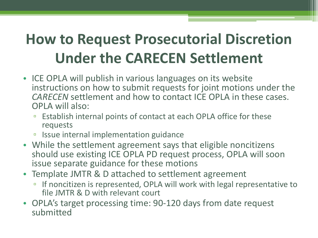### **How to Request Prosecutorial Discretion Under the CARECEN Settlement**

- ICE OPLA will publish in various languages on its website instructions on how to submit requests for joint motions under the *CARECEN* settlement and how to contact ICE OPLA in these cases. OPLA will also:
	- Establish internal points of contact at each OPLA office for these requests
	- Issue internal implementation guidance
- While the settlement agreement says that eligible noncitizens should use existing ICE OPLA PD request process, OPLA will soon issue separate guidance for these motions
- Template JMTR & D attached to settlement agreement
	- □ If noncitizen is represented, OPLA will work with legal representative to file JMTR & D with relevant court
- OPLA's target processing time: 90-120 days from date request submitted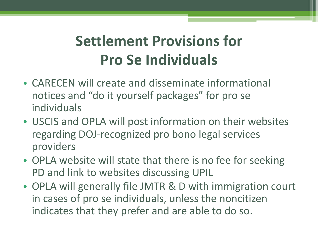### **Settlement Provisions for Pro Se Individuals**

- CARECEN will create and disseminate informational notices and "do it yourself packages" for pro se individuals
- USCIS and OPLA will post information on their websites regarding DOJ-recognized pro bono legal services providers
- OPLA website will state that there is no fee for seeking PD and link to websites discussing UPIL
- OPLA will generally file JMTR & D with immigration court in cases of pro se individuals, unless the noncitizen indicates that they prefer and are able to do so.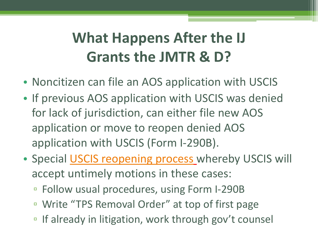# **What Happens After the IJ [Grants the JMTR](https://www.uscis.gov/laws-and-policy/other-resources/class-action-settlement-notices-and-agreements/certain-temporary-protected-status-tps-recipients-with-orders-of-removal-or-deportation-seeking) & D?**

- Noncitizen can file an AOS application with USC
- If previous AOS application with USCIS was deni for lack of jurisdiction, can either file new AOS application or move to reopen denied AOS application with USCIS (Form I-290B).
- Special **USCIS reopening process** whereby USCIS accept untimely motions in these cases:
	- Follow usual procedures, using Form I-290B
	- Write "TPS Removal Order" at top of first page
	- If already in litigation, work through gov't counse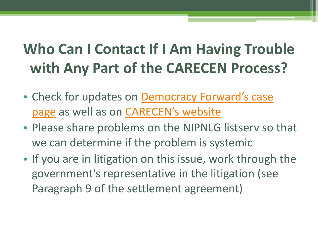### **Who Can I Contact If I Am Having Trouble with Any Part of the CARECEN Process?**

- Check for updates on Democracy Forward's case page as well as on **CARECEN's website**
- Please share problems on the NIPNLG listserv so we can determine if the problem is systemic
- If you are in litigation on this issue, work through government's representative in the litigation (see Paragraph 9 of the settlement agreement)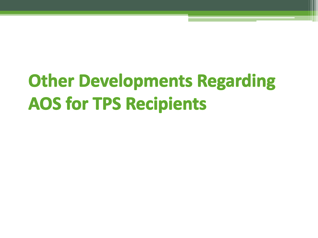# **Other Developments Regarding AOS for TPS Recipients**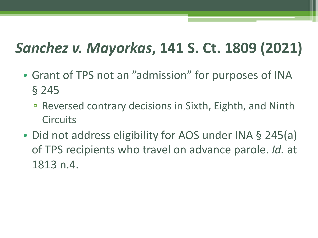#### *Sanchez v. Mayorkas***, 141 S. Ct. 1809 (2021)**

- Grant of TPS not an "admission" for purposes of INA § 245
	- Reversed contrary decisions in Sixth, Eighth, and Ninth **Circuits**
- Did not address eligibility for AOS under INA § 245(a) of TPS recipients who travel on advance parole. *Id.* at 1813 n.4.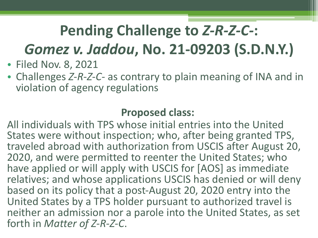#### **Pending Challenge to** *Z-R-Z-C-***:**  *Gomez v. Jaddou***, No. 21-09203 (S.D.N.Y.)**

- Filed Nov. 8, 2021
- Challenges *Z-R-Z-C-* as contrary to plain meaning of INA and in violation of agency regulations

#### **Proposed class:**

All individuals with TPS whose initial entries into the United States were without inspection; who, after being granted TPS, traveled abroad with authorization from USCIS after August 20, 2020, and were permitted to reenter the United States; who have applied or will apply with USCIS for [AOS] as immediate relatives; and whose applications USCIS has denied or will deny based on its policy that a post-August 20, 2020 entry into the United States by a TPS holder pursuant to authorized travel is neither an admission nor a parole into the United States, as set forth in *Matter of Z-R-Z-C*.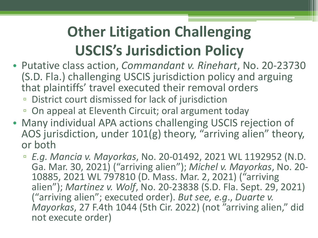## **Other Litigation Challenging USCIS's Jurisdiction Policy**

- Putative class action, *Commandant v. Rinehart*, No. 20-23730 (S.D. Fla.) challenging USCIS jurisdiction policy and arguing that plaintiffs' travel executed their removal orders
	- District court dismissed for lack of jurisdiction
	- On appeal at Eleventh Circuit; oral argument today
- Many individual APA actions challenging USCIS rejection of AOS jurisdiction, under 101(g) theory, "arriving alien" theory, or both
	- *E.g. Mancia v. Mayorkas*, No. 20-01492, 2021 WL 1192952 (N.D. Ga. Mar. 30, 2021) ("arriving alien"); *Michel v. Mayorkas*, No. 20- 10885, 2021 WL 797810 (D. Mass. Mar. 2, 2021) ("arriving alien"); *Martinez v. Wolf*, No. 20-23838 (S.D. Fla. Sept. 29, 2021) ("arriving alien"; executed order). *But see, e.g*., *Duarte v. Mayorkas*, 27 F.4th 1044 (5th Cir. 2022) (not "arriving alien," did not execute order)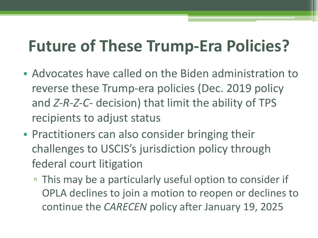## **Future of These Trump-Era Policies?**

- Advocates have called on the Biden administration to reverse these Trump-era policies (Dec. 2019 policy and *Z-R-Z-C-* decision) that limit the ability of TPS recipients to adjust status
- Practitioners can also consider bringing their challenges to USCIS's jurisdiction policy through federal court litigation
	- This may be a particularly useful option to consider if OPLA declines to join a motion to reopen or declines to continue the *CARECEN* policy after January 19, 2025